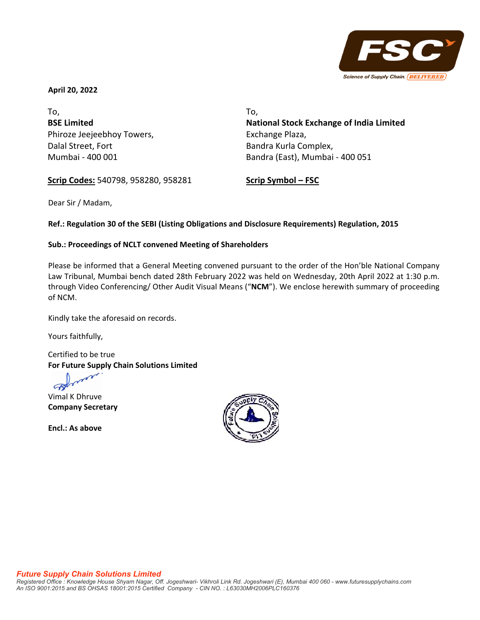

**April 20, 2022**

To, **BSE Limited** Phiroze Jeejeebhoy Towers, Dalal Street, Fort Mumbai ‐ 400 001

To, **National Stock Exchange of India Limited**  Exchange Plaza, Bandra Kurla Complex, Bandra (East), Mumbai ‐ 400 051

**Scrip Codes:** 540798, 958280, 958281

**Scrip Symbol – FSC**

Dear Sir / Madam,

## **Ref.: Regulation 30 of the SEBI (Listing Obligations and Disclosure Requirements) Regulation, 2015**

## **Sub.: Proceedings of NCLT convened Meeting of Shareholders**

Please be informed that a General Meeting convened pursuant to the order of the Hon'ble National Company Law Tribunal, Mumbai bench dated 28th February 2022 was held on Wednesday, 20th April 2022 at 1:30 p.m. through Video Conferencing/ Other Audit Visual Means ("**NCM**"). We enclose herewith summary of proceeding of NCM.

Kindly take the aforesaid on records.

Yours faithfully,

Certified to be true **For Future Supply Chain Solutions Limited**

Vimal K Dhruve **Company Secretary**

**Encl.: As above**

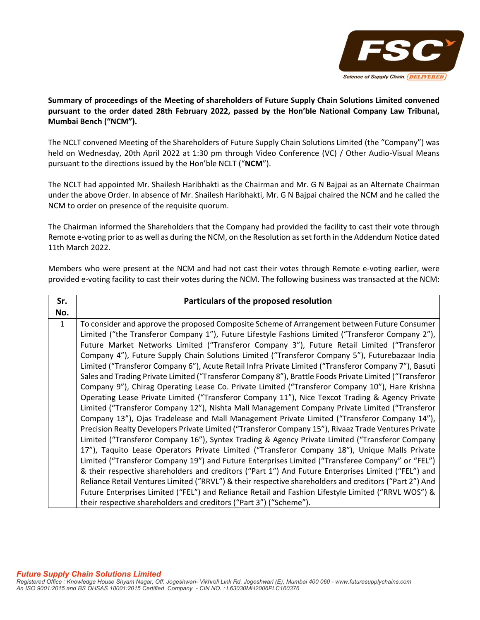

**Summary of proceedings of the Meeting of shareholders of Future Supply Chain Solutions Limited convened pursuant to the order dated 28th February 2022, passed by the Hon'ble National Company Law Tribunal, Mumbai Bench ("NCM").**

The NCLT convened Meeting of the Shareholders of Future Supply Chain Solutions Limited (the "Company") was held on Wednesday, 20th April 2022 at 1:30 pm through Video Conference (VC) / Other Audio‐Visual Means pursuant to the directions issued by the Hon'ble NCLT ("**NCM**").

The NCLT had appointed Mr. Shailesh Haribhakti as the Chairman and Mr. G N Bajpai as an Alternate Chairman under the above Order. In absence of Mr. Shailesh Haribhakti, Mr. G N Bajpai chaired the NCM and he called the NCM to order on presence of the requisite quorum.

The Chairman informed the Shareholders that the Company had provided the facility to cast their vote through Remote e-voting prior to as well as during the NCM, on the Resolution as set forth in the Addendum Notice dated 11th March 2022.

Members who were present at the NCM and had not cast their votes through Remote e‐voting earlier, were provided e-voting facility to cast their votes during the NCM. The following business was transacted at the NCM:

| Sr.          | Particulars of the proposed resolution                                                                 |
|--------------|--------------------------------------------------------------------------------------------------------|
| No.          |                                                                                                        |
| $\mathbf{1}$ | To consider and approve the proposed Composite Scheme of Arrangement between Future Consumer           |
|              | Limited ("the Transferor Company 1"), Future Lifestyle Fashions Limited ("Transferor Company 2"),      |
|              | Future Market Networks Limited ("Transferor Company 3"), Future Retail Limited ("Transferor            |
|              | Company 4"), Future Supply Chain Solutions Limited ("Transferor Company 5"), Futurebazaar India        |
|              | Limited ("Transferor Company 6"), Acute Retail Infra Private Limited ("Transferor Company 7"), Basuti  |
|              | Sales and Trading Private Limited ("Transferor Company 8"), Brattle Foods Private Limited ("Transferor |
|              | Company 9"), Chirag Operating Lease Co. Private Limited ("Transferor Company 10"), Hare Krishna        |
|              | Operating Lease Private Limited ("Transferor Company 11"), Nice Texcot Trading & Agency Private        |
|              | Limited ("Transferor Company 12"), Nishta Mall Management Company Private Limited ("Transferor         |
|              | Company 13"), Ojas Tradelease and Mall Management Private Limited ("Transferor Company 14"),           |
|              | Precision Realty Developers Private Limited ("Transferor Company 15"), Rivaaz Trade Ventures Private   |
|              | Limited ("Transferor Company 16"), Syntex Trading & Agency Private Limited ("Transferor Company        |
|              | 17"), Taquito Lease Operators Private Limited ("Transferor Company 18"), Unique Malls Private          |
|              | Limited ("Transferor Company 19") and Future Enterprises Limited ("Transferee Company" or "FEL")       |
|              | & their respective shareholders and creditors ("Part 1") And Future Enterprises Limited ("FEL") and    |
|              | Reliance Retail Ventures Limited ("RRVL") & their respective shareholders and creditors ("Part 2") And |
|              | Future Enterprises Limited ("FEL") and Reliance Retail and Fashion Lifestyle Limited ("RRVL WOS") &    |
|              | their respective shareholders and creditors ("Part 3") ("Scheme").                                     |